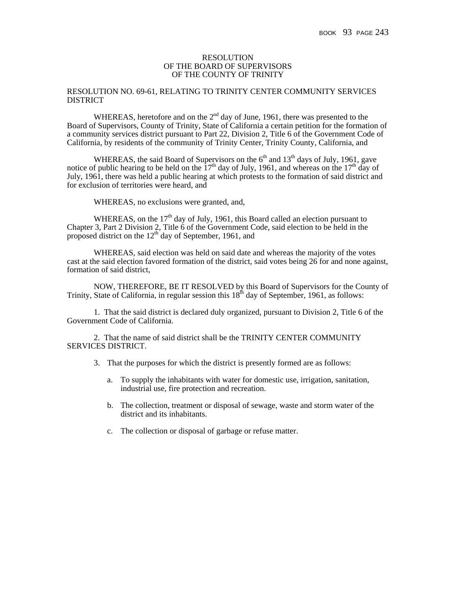### RESOLUTION OF THE BOARD OF SUPERVISORS OF THE COUNTY OF TRINITY

# RESOLUTION NO. 69-61, RELATING TO TRINITY CENTER COMMUNITY SERVICES DISTRICT

WHEREAS, heretofore and on the  $2<sup>nd</sup>$  day of June, 1961, there was presented to the Board of Supervisors, County of Trinity, State of California a certain petition for the formation of a community services district pursuant to Part 22, Division 2, Title 6 of the Government Code of California, by residents of the community of Trinity Center, Trinity County, California, and

WHEREAS, the said Board of Supervisors on the  $6<sup>th</sup>$  and  $13<sup>th</sup>$  days of July, 1961, gave notice of public hearing to be held on the  $17<sup>th</sup>$  day of July, 1961, and whereas on the 17<sup>th</sup> day of July, 1961, there was held a public hearing at which protests to the formation of said district and for exclusion of territories were heard, and

WHEREAS, no exclusions were granted, and,

WHEREAS, on the  $17<sup>th</sup>$  day of July, 1961, this Board called an election pursuant to Chapter 3, Part 2 Division 2, Title 6 of the Government Code, said election to be held in the proposed district on the  $12<sup>th</sup>$  day of September, 1961, and

WHEREAS, said election was held on said date and whereas the majority of the votes cast at the said election favored formation of the district, said votes being 26 for and none against, formation of said district,

NOW, THEREFORE, BE IT RESOLVED by this Board of Supervisors for the County of Trinity, State of California, in regular session this  $18<sup>th</sup>$  day of September, 1961, as follows:

1. That the said district is declared duly organized, pursuant to Division 2, Title 6 of the Government Code of California.

2. That the name of said district shall be the TRINITY CENTER COMMUNITY SERVICES DISTRICT.

- 3. That the purposes for which the district is presently formed are as follows:
	- a. To supply the inhabitants with water for domestic use, irrigation, sanitation, industrial use, fire protection and recreation.
	- b. The collection, treatment or disposal of sewage, waste and storm water of the district and its inhabitants.
	- c. The collection or disposal of garbage or refuse matter.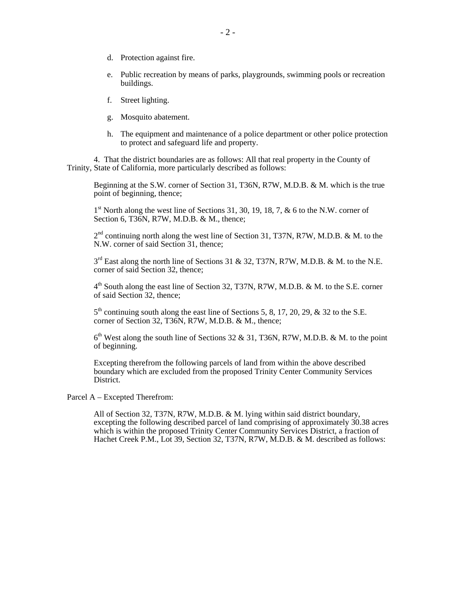- d. Protection against fire.
- e. Public recreation by means of parks, playgrounds, swimming pools or recreation buildings.
- f. Street lighting.
- g. Mosquito abatement.
- h. The equipment and maintenance of a police department or other police protection to protect and safeguard life and property.

4. That the district boundaries are as follows: All that real property in the County of Trinity, State of California, more particularly described as follows:

Beginning at the S.W. corner of Section 31, T36N, R7W, M.D.B. & M. which is the true point of beginning, thence;

 $1<sup>st</sup>$  North along the west line of Sections 31, 30, 19, 18, 7, & 6 to the N.W. corner of Section 6, T36N, R7W, M.D.B. & M., thence;

 $2<sup>nd</sup>$  continuing north along the west line of Section 31, T37N, R7W, M.D.B. & M. to the N.W. corner of said Section 31, thence;

 $3<sup>rd</sup>$  East along the north line of Sections 31 & 32, T37N, R7W, M.D.B. & M. to the N.E. corner of said Section 32, thence;

4th South along the east line of Section 32, T37N, R7W, M.D.B. & M. to the S.E. corner of said Section 32, thence;

 $5<sup>th</sup>$  continuing south along the east line of Sections 5, 8, 17, 20, 29, & 32 to the S.E. corner of Section 32, T36N, R7W, M.D.B. & M., thence;

 $6<sup>th</sup>$  West along the south line of Sections 32 & 31, T36N, R7W, M.D.B. & M. to the point of beginning.

Excepting therefrom the following parcels of land from within the above described boundary which are excluded from the proposed Trinity Center Community Services District.

#### Parcel A – Excepted Therefrom:

All of Section 32, T37N, R7W, M.D.B. & M. lying within said district boundary, excepting the following described parcel of land comprising of approximately 30.38 acres which is within the proposed Trinity Center Community Services District, a fraction of Hachet Creek P.M., Lot 39, Section 32, T37N, R7W, M.D.B. & M. described as follows: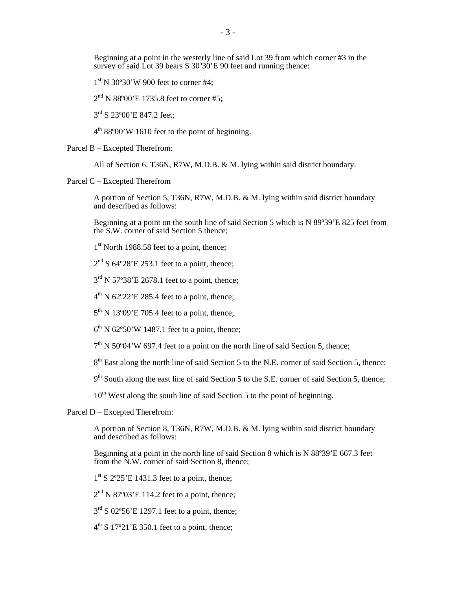Beginning at a point in the westerly line of said Lot 39 from which corner #3 in the survey of said Lot 39 bears  $S$  30 $\degree$ 30'E 90 feet and running thence:

1<sup>st</sup> N 30°30'W 900 feet to corner #4;

2nd N 88º00'E 1735.8 feet to corner #5;

3<sup>rd</sup> S 23°00'E 847.2 feet;

4<sup>th</sup> 88°00'W 1610 feet to the point of beginning.

Parcel B – Excepted Therefrom:

All of Section 6, T36N, R7W, M.D.B. & M. lying within said district boundary.

Parcel C – Excepted Therefrom

A portion of Section 5, T36N, R7W, M.D.B. & M. lying within said district boundary and described as follows:

Beginning at a point on the south line of said Section 5 which is N 89º39'E 825 feet from the S.W. corner of said Section 5 thence;

 $1<sup>st</sup>$  North 1988.58 feet to a point, thence;

 $2<sup>nd</sup>$  S 64°28'E 253.1 feet to a point, thence;

 $3<sup>rd</sup>$  N 57°38'E 2678.1 feet to a point, thence;

 $4<sup>th</sup>$  N 62°22'E 285.4 feet to a point, thence;

 $5<sup>th</sup>$  N 13°09'E 705.4 feet to a point, thence;

 $6<sup>th</sup>$  N 62°50'W 1487.1 feet to a point, thence;

 $7<sup>th</sup>$  N 50°04'W 697.4 feet to a point on the north line of said Section 5, thence;

 $8<sup>th</sup>$  East along the north line of said Section 5 to the N.E. corner of said Section 5, thence;

 $9<sup>th</sup>$  South along the east line of said Section 5 to the S.E. corner of said Section 5, thence;

 $10<sup>th</sup>$  West along the south line of said Section 5 to the point of beginning.

Parcel D – Excepted Therefrom:

A portion of Section 8, T36N, R7W, M.D.B. & M. lying within said district boundary and described as follows:

Beginning at a point in the north line of said Section 8 which is N 88º39'E 667.3 feet from the N.W. corner of said Section 8, thence;

 $1<sup>st</sup>$  S  $2<sup>o</sup>25$ <sup>'</sup>E 1431.3 feet to a point, thence;

 $2<sup>nd</sup>$  N 87°03'E 114.2 feet to a point, thence;

 $3<sup>rd</sup>$  S 02°56'E 1297.1 feet to a point, thence;

 $4<sup>th</sup>$  S 17°21'E 350.1 feet to a point, thence;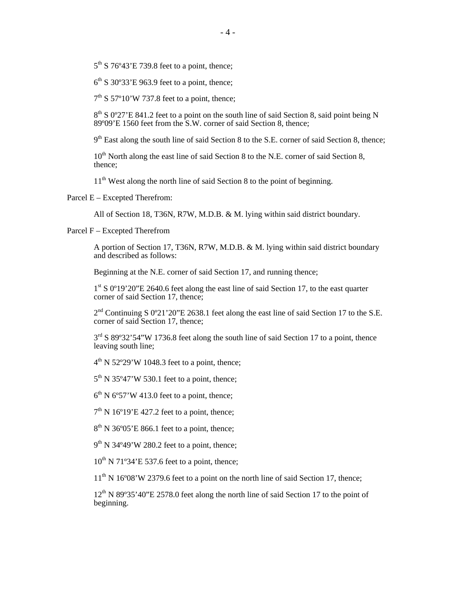$5<sup>th</sup>$  S 76°43'E 739.8 feet to a point, thence;

 $6<sup>th</sup>$  S 30°33'E 963.9 feet to a point, thence;

 $7<sup>th</sup>$  S 57°10'W 737.8 feet to a point, thence;

8<sup>th</sup> S 0°27'E 841.2 feet to a point on the south line of said Section 8, said point being N 89º09'E 1560 feet from the S.W. corner of said Section 8, thence;

 $9<sup>th</sup>$  East along the south line of said Section 8 to the S.E. corner of said Section 8, thence;

 $10<sup>th</sup>$  North along the east line of said Section 8 to the N.E. corner of said Section 8, thence;

 $11<sup>th</sup>$  West along the north line of said Section 8 to the point of beginning.

Parcel E – Excepted Therefrom:

All of Section 18, T36N, R7W, M.D.B. & M. lying within said district boundary.

# Parcel F – Excepted Therefrom

A portion of Section 17, T36N, R7W, M.D.B. & M. lying within said district boundary and described as follows:

Beginning at the N.E. corner of said Section 17, and running thence;

1<sup>st</sup> S 0°19'20"E 2640.6 feet along the east line of said Section 17, to the east quarter corner of said Section 17, thence;

 $2<sup>nd</sup>$  Continuing S 0°21'20"E 2638.1 feet along the east line of said Section 17 to the S.E. corner of said Section 17, thence;

3<sup>rd</sup> S 89°32'54"W 1736.8 feet along the south line of said Section 17 to a point, thence leaving south line;

 $4<sup>th</sup>$  N 52°29'W 1048.3 feet to a point, thence;

 $5<sup>th</sup>$  N 35°47'W 530.1 feet to a point, thence;

 $6<sup>th</sup>$  N  $6<sup>o</sup>57$ 'W 413.0 feet to a point, thence;

 $7<sup>th</sup>$  N 16°19'E 427.2 feet to a point, thence;

 $8<sup>th</sup>$  N 36°05'E 866.1 feet to a point, thence;

 $9<sup>th</sup>$  N 34°49'W 280.2 feet to a point, thence;

 $10^{th}$  N 71°34'E 537.6 feet to a point, thence;

 $11<sup>th</sup>$  N 16°08'W 2379.6 feet to a point on the north line of said Section 17, thence;

 $12<sup>th</sup>$  N 89°35'40"E 2578.0 feet along the north line of said Section 17 to the point of beginning.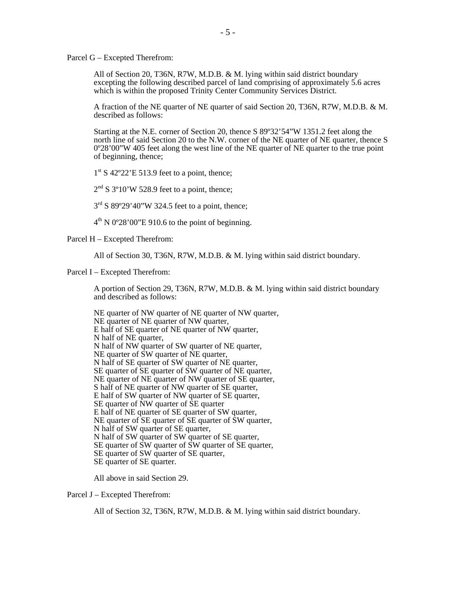Parcel G – Excepted Therefrom:

All of Section 20, T36N, R7W, M.D.B. & M. lying within said district boundary excepting the following described parcel of land comprising of approximately 5.6 acres which is within the proposed Trinity Center Community Services District.

A fraction of the NE quarter of NE quarter of said Section 20, T36N, R7W, M.D.B. & M. described as follows:

Starting at the N.E. corner of Section 20, thence S 89º32'54"W 1351.2 feet along the north line of said Section 20 to the N.W. corner of the NE quarter of NE quarter, thence  $S$ 0º28'00"W 405 feet along the west line of the NE quarter of NE quarter to the true point of beginning, thence;

 $1<sup>st</sup>$  S 42°22'E 513.9 feet to a point, thence;

 $2<sup>nd</sup>$  S 3°10'W 528.9 feet to a point, thence;

3rd S 89º29'40"W 324.5 feet to a point, thence;

 $4<sup>th</sup>$  N 0°28'00"E 910.6 to the point of beginning.

Parcel H – Excepted Therefrom:

All of Section 30, T36N, R7W, M.D.B. & M. lying within said district boundary.

#### Parcel I – Excepted Therefrom:

A portion of Section 29, T36N, R7W, M.D.B. & M. lying within said district boundary and described as follows:

NE quarter of NW quarter of NE quarter of NW quarter, NE quarter of NE quarter of NW quarter, E half of SE quarter of NE quarter of NW quarter, N half of NE quarter, N half of NW quarter of SW quarter of NE quarter, NE quarter of SW quarter of NE quarter, N half of SE quarter of SW quarter of NE quarter, SE quarter of SE quarter of SW quarter of NE quarter, NE quarter of NE quarter of NW quarter of SE quarter, S half of NE quarter of NW quarter of SE quarter, E half of SW quarter of NW quarter of SE quarter, SE quarter of  $\hat{N}W$  quarter of  $\hat{S}E$  quarter E half of NE quarter of SE quarter of SW quarter, NE quarter of SE quarter of SE quarter of SW quarter, N half of SW quarter of SE quarter, N half of SW quarter of SW quarter of SE quarter, SE quarter of SW quarter of SW quarter of SE quarter, SE quarter of SW quarter of SE quarter, SE quarter of SE quarter.

All above in said Section 29.

Parcel J – Excepted Therefrom:

All of Section 32, T36N, R7W, M.D.B. & M. lying within said district boundary.